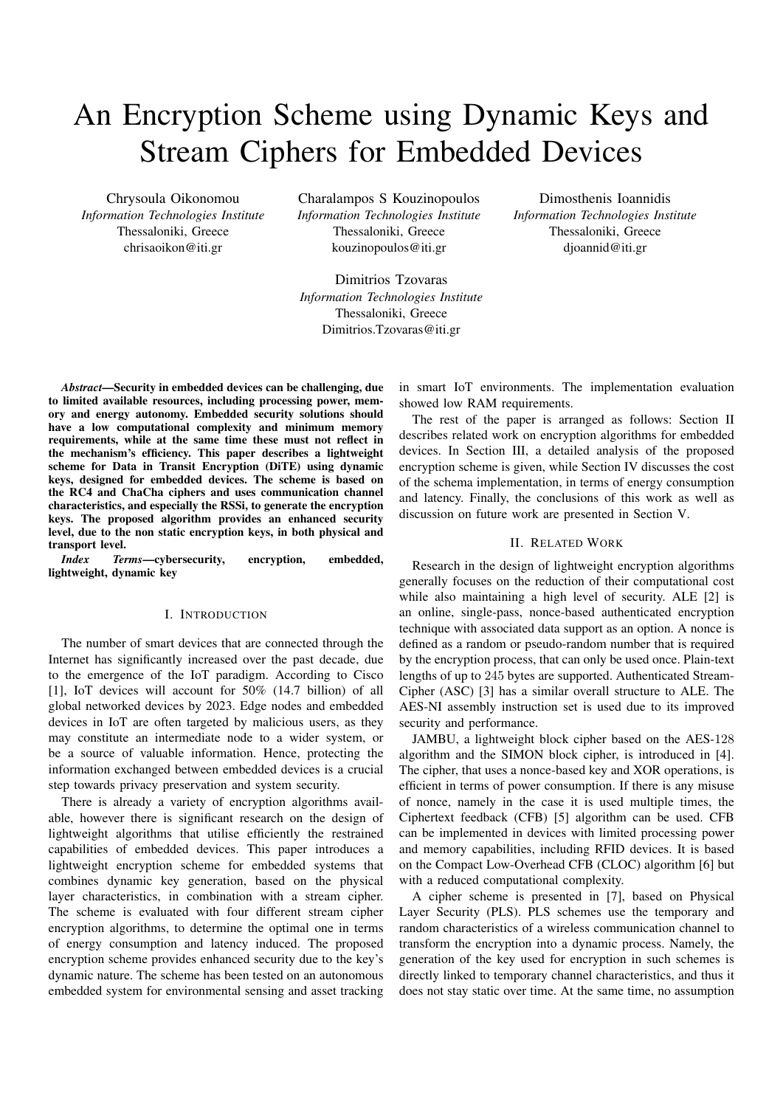# An Encryption Scheme using Dynamic Keys and Stream Ciphers for Embedded Devices

Chrysoula Oikonomou *Information Technologies Institute* Thessaloniki, Greece chrisaoikon@iti.gr

Charalampos S Kouzinopoulos *Information Technologies Institute* Thessaloniki, Greece kouzinopoulos@iti.gr

Dimitrios Tzovaras *Information Technologies Institute* Thessaloniki, Greece Dimitrios.Tzovaras@iti.gr

Dimosthenis Ioannidis *Information Technologies Institute* Thessaloniki, Greece djoannid@iti.gr

*Abstract*—Security in embedded devices can be challenging, due to limited available resources, including processing power, memory and energy autonomy. Embedded security solutions should have a low computational complexity and minimum memory requirements, while at the same time these must not reflect in the mechanism's efficiency. This paper describes a lightweight scheme for Data in Transit Encryption (DiTE) using dynamic keys, designed for embedded devices. The scheme is based on the RC4 and ChaCha ciphers and uses communication channel characteristics, and especially the RSSi, to generate the encryption keys. The proposed algorithm provides an enhanced security level, due to the non static encryption keys, in both physical and transport level.

*Index Terms*—cybersecurity, encryption, embedded, lightweight, dynamic key

## I. INTRODUCTION

The number of smart devices that are connected through the Internet has significantly increased over the past decade, due to the emergence of the IoT paradigm. According to Cisco [1], IoT devices will account for 50% (14.7 billion) of all global networked devices by 2023. Edge nodes and embedded devices in IoT are often targeted by malicious users, as they may constitute an intermediate node to a wider system, or be a source of valuable information. Hence, protecting the information exchanged between embedded devices is a crucial step towards privacy preservation and system security.

There is already a variety of encryption algorithms available, however there is significant research on the design of lightweight algorithms that utilise efficiently the restrained capabilities of embedded devices. This paper introduces a lightweight encryption scheme for embedded systems that combines dynamic key generation, based on the physical layer characteristics, in combination with a stream cipher. The scheme is evaluated with four different stream cipher encryption algorithms, to determine the optimal one in terms of energy consumption and latency induced. The proposed encryption scheme provides enhanced security due to the key's dynamic nature. The scheme has been tested on an autonomous embedded system for environmental sensing and asset tracking

in smart IoT environments. The implementation evaluation showed low RAM requirements.

The rest of the paper is arranged as follows: Section II describes related work on encryption algorithms for embedded devices. In Section III, a detailed analysis of the proposed encryption scheme is given, while Section IV discusses the cost of the schema implementation, in terms of energy consumption and latency. Finally, the conclusions of this work as well as discussion on future work are presented in Section V.

## II. RELATED WORK

Research in the design of lightweight encryption algorithms generally focuses on the reduction of their computational cost while also maintaining a high level of security. ALE [2] is an online, single-pass, nonce-based authenticated encryption technique with associated data support as an option. A nonce is defined as a random or pseudo-random number that is required by the encryption process, that can only be used once. Plain-text lengths of up to 245 bytes are supported. Authenticated Stream-Cipher (ASC) [3] has a similar overall structure to ALE. The AES-NI assembly instruction set is used due to its improved security and performance.

JAMBU, a lightweight block cipher based on the AES-128 algorithm and the SIMON block cipher, is introduced in [4]. The cipher, that uses a nonce-based key and XOR operations, is efficient in terms of power consumption. If there is any misuse of nonce, namely in the case it is used multiple times, the Ciphertext feedback (CFB) [5] algorithm can be used. CFB can be implemented in devices with limited processing power and memory capabilities, including RFID devices. It is based on the Compact Low-Overhead CFB (CLOC) algorithm [6] but with a reduced computational complexity.

A cipher scheme is presented in [7], based on Physical Layer Security (PLS). PLS schemes use the temporary and random characteristics of a wireless communication channel to transform the encryption into a dynamic process. Namely, the generation of the key used for encryption in such schemes is directly linked to temporary channel characteristics, and thus it does not stay static over time. At the same time, no assumption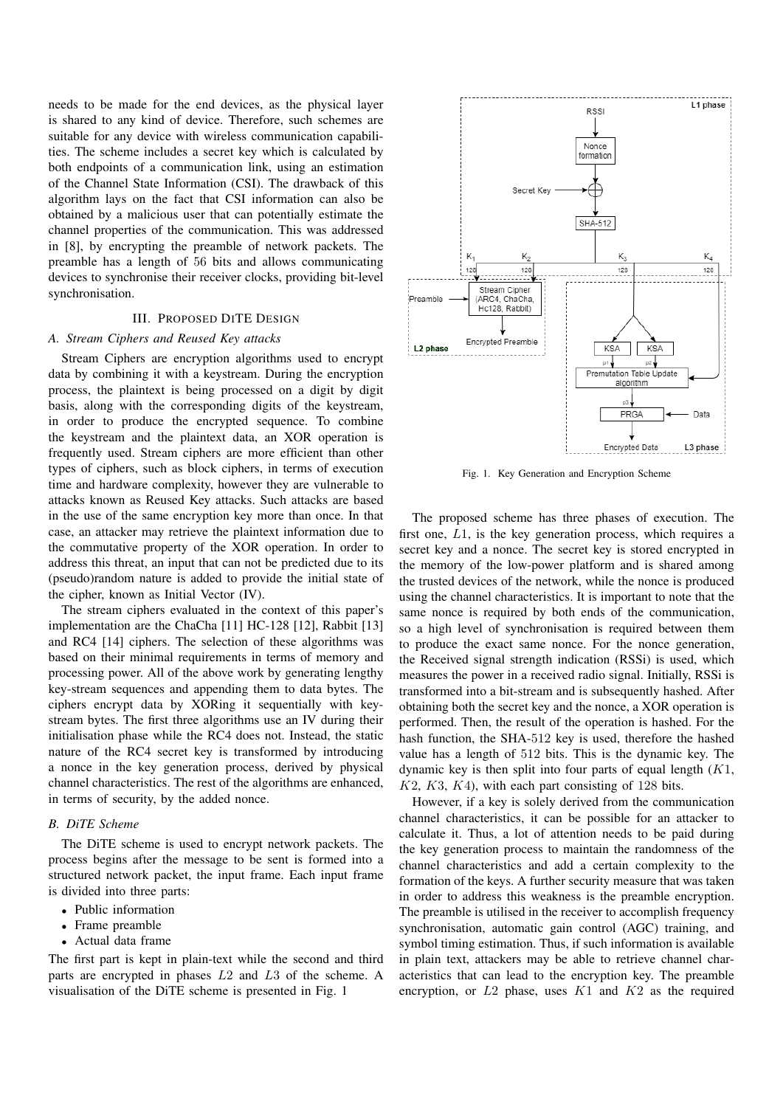needs to be made for the end devices, as the physical layer is shared to any kind of device. Therefore, such schemes are suitable for any device with wireless communication capabilities. The scheme includes a secret key which is calculated by both endpoints of a communication link, using an estimation of the Channel State Information (CSI). The drawback of this algorithm lays on the fact that CSI information can also be obtained by a malicious user that can potentially estimate the channel properties of the communication. This was addressed in [8], by encrypting the preamble of network packets. The preamble has a length of 56 bits and allows communicating devices to synchronise their receiver clocks, providing bit-level synchronisation.

## III. PROPOSED DITE DESIGN

## *A. Stream Ciphers and Reused Key attacks*

Stream Ciphers are encryption algorithms used to encrypt data by combining it with a keystream. During the encryption process, the plaintext is being processed on a digit by digit basis, along with the corresponding digits of the keystream, in order to produce the encrypted sequence. To combine the keystream and the plaintext data, an XOR operation is frequently used. Stream ciphers are more efficient than other types of ciphers, such as block ciphers, in terms of execution time and hardware complexity, however they are vulnerable to attacks known as Reused Key attacks. Such attacks are based in the use of the same encryption key more than once. In that case, an attacker may retrieve the plaintext information due to the commutative property of the XOR operation. In order to address this threat, an input that can not be predicted due to its (pseudo)random nature is added to provide the initial state of the cipher, known as Initial Vector (IV).

The stream ciphers evaluated in the context of this paper's implementation are the ChaCha [11] HC-128 [12], Rabbit [13] and RC4 [14] ciphers. The selection of these algorithms was based on their minimal requirements in terms of memory and processing power. All of the above work by generating lengthy key-stream sequences and appending them to data bytes. The ciphers encrypt data by XORing it sequentially with keystream bytes. The first three algorithms use an IV during their initialisation phase while the RC4 does not. Instead, the static nature of the RC4 secret key is transformed by introducing a nonce in the key generation process, derived by physical channel characteristics. The rest of the algorithms are enhanced, in terms of security, by the added nonce.

#### *B. DiTE Scheme*

The DiTE scheme is used to encrypt network packets. The process begins after the message to be sent is formed into a structured network packet, the input frame. Each input frame is divided into three parts:

- Public information
- Frame preamble
- Actual data frame

The first part is kept in plain-text while the second and third parts are encrypted in phases L2 and L3 of the scheme. A visualisation of the DiTE scheme is presented in Fig. 1



Fig. 1. Key Generation and Encryption Scheme

The proposed scheme has three phases of execution. The first one, L1, is the key generation process, which requires a secret key and a nonce. The secret key is stored encrypted in the memory of the low-power platform and is shared among the trusted devices of the network, while the nonce is produced using the channel characteristics. It is important to note that the same nonce is required by both ends of the communication, so a high level of synchronisation is required between them to produce the exact same nonce. For the nonce generation, the Received signal strength indication (RSSi) is used, which measures the power in a received radio signal. Initially, RSSi is transformed into a bit-stream and is subsequently hashed. After obtaining both the secret key and the nonce, a XOR operation is performed. Then, the result of the operation is hashed. For the hash function, the SHA-512 key is used, therefore the hashed value has a length of 512 bits. This is the dynamic key. The dynamic key is then split into four parts of equal length  $(K1,$  $K2, K3, K4$ , with each part consisting of 128 bits.

However, if a key is solely derived from the communication channel characteristics, it can be possible for an attacker to calculate it. Thus, a lot of attention needs to be paid during the key generation process to maintain the randomness of the channel characteristics and add a certain complexity to the formation of the keys. A further security measure that was taken in order to address this weakness is the preamble encryption. The preamble is utilised in the receiver to accomplish frequency synchronisation, automatic gain control (AGC) training, and symbol timing estimation. Thus, if such information is available in plain text, attackers may be able to retrieve channel characteristics that can lead to the encryption key. The preamble encryption, or  $L2$  phase, uses  $K1$  and  $K2$  as the required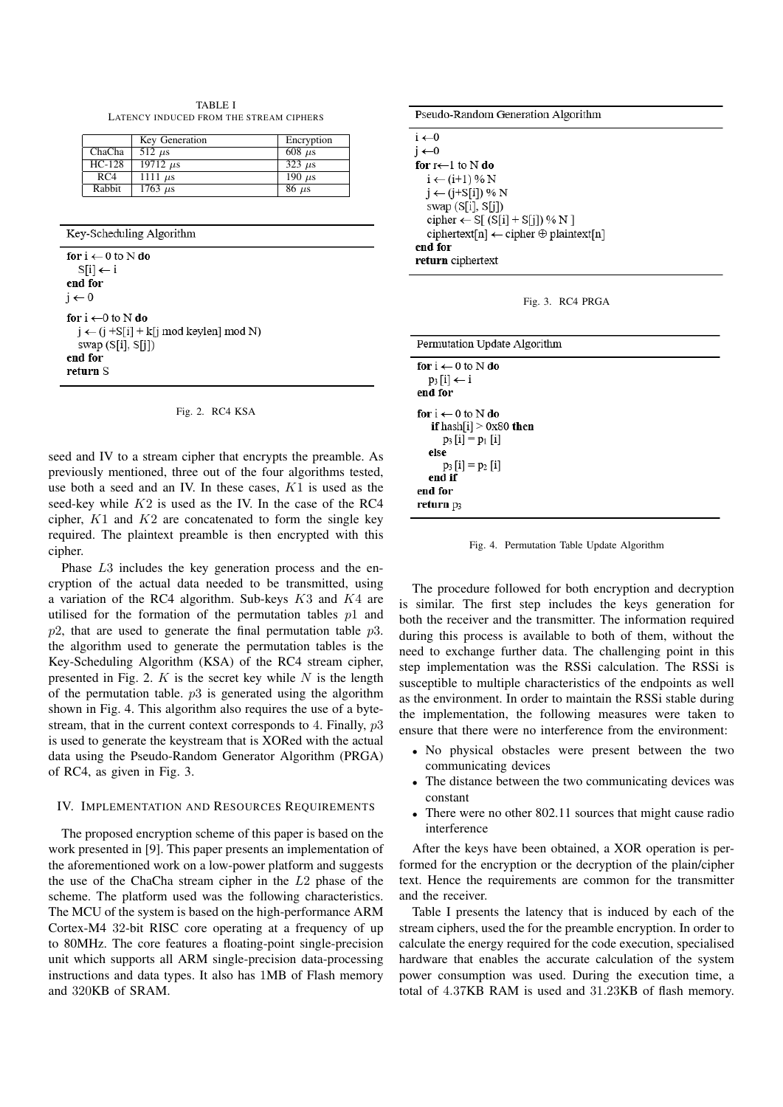TABLE I LATENCY INDUCED FROM THE STREAM CIPHERS

|          | Key Generation             | Encryption    |
|----------|----------------------------|---------------|
| ChaCha   | $512 \ \mu s$              | $608 \mu s$   |
| $HC-128$ | $19712 \ \mu s$            | $323 \mu s$   |
| RC4      | 1111 $\mu$ s               | 190 $\mu$ s   |
| Rabbit   | $1763 \text{ }\mu\text{s}$ | $86 \; \mu s$ |

Key-Scheduling Algorithm

for  $i \leftarrow 0$  to N do  $S[i] \leftarrow i$ end for  $j \leftarrow 0$ for  $i \leftarrow 0$  to N do  $j \leftarrow (j + S[i] + k[j \mod k$ eylen] mod N) swap  $(S[i], S[j])$ end for return S

|  |  | Fig. 2. RC4 KSA |  |
|--|--|-----------------|--|
|--|--|-----------------|--|

seed and IV to a stream cipher that encrypts the preamble. As previously mentioned, three out of the four algorithms tested, use both a seed and an IV. In these cases, K1 is used as the seed-key while  $K2$  is used as the IV. In the case of the RC4 cipher,  $K1$  and  $K2$  are concatenated to form the single key required. The plaintext preamble is then encrypted with this cipher.

Phase L3 includes the key generation process and the encryption of the actual data needed to be transmitted, using a variation of the RC4 algorithm. Sub-keys  $K3$  and  $K4$  are utilised for the formation of the permutation tables  $p1$  and  $p2$ , that are used to generate the final permutation table  $p3$ . the algorithm used to generate the permutation tables is the Key-Scheduling Algorithm (KSA) of the RC4 stream cipher, presented in Fig. 2.  $K$  is the secret key while  $N$  is the length of the permutation table.  $p3$  is generated using the algorithm shown in Fig. 4. This algorithm also requires the use of a bytestream, that in the current context corresponds to 4. Finally, p3 is used to generate the keystream that is XORed with the actual data using the Pseudo-Random Generator Algorithm (PRGA) of RC4, as given in Fig. 3.

#### IV. IMPLEMENTATION AND RESOURCES REQUIREMENTS

The proposed encryption scheme of this paper is based on the work presented in [9]. This paper presents an implementation of the aforementioned work on a low-power platform and suggests the use of the ChaCha stream cipher in the L2 phase of the scheme. The platform used was the following characteristics. The MCU of the system is based on the high-performance ARM Cortex-M4 32-bit RISC core operating at a frequency of up to 80MHz. The core features a floating-point single-precision unit which supports all ARM single-precision data-processing instructions and data types. It also has 1MB of Flash memory and 320KB of SRAM.

| Pseudo-Random Generation Algorithm                      |
|---------------------------------------------------------|
| $i \leftarrow 0$                                        |
| $i \leftarrow 0$                                        |
| for $r \leftarrow 1$ to N do                            |
| $i \leftarrow (i+1) \% N$                               |
| $j \leftarrow (j + S[i]) \% N$                          |
| swap $(S[i], S[j])$                                     |
| cipher $\leftarrow$ S[ (S[i] + S[j]) % N ]              |
| ciphertext[n] $\leftarrow$ cipher $\oplus$ plaintext[n] |
| end for                                                 |
| return ciphertext                                       |

|  |  |  | Fig. 3. RC4 PRGA |
|--|--|--|------------------|
|--|--|--|------------------|

| Permutation Update Algorithm                                                                                                                                  |
|---------------------------------------------------------------------------------------------------------------------------------------------------------------|
| for $i \leftarrow 0$ to N do<br>$p_3[i] \leftarrow i$<br>end for                                                                                              |
| for $i \leftarrow 0$ to N do<br><b>if</b> hash[i] $> 0x80$ <b>then</b><br>$p_3[i] = p_1[i]$<br>else<br>$p_3[i] = p_2[i]$<br>end if<br>end for<br>return $p_3$ |

Fig. 4. Permutation Table Update Algorithm

The procedure followed for both encryption and decryption is similar. The first step includes the keys generation for both the receiver and the transmitter. The information required during this process is available to both of them, without the need to exchange further data. The challenging point in this step implementation was the RSSi calculation. The RSSi is susceptible to multiple characteristics of the endpoints as well as the environment. In order to maintain the RSSi stable during the implementation, the following measures were taken to ensure that there were no interference from the environment:

- No physical obstacles were present between the two communicating devices
- The distance between the two communicating devices was constant
- There were no other 802.11 sources that might cause radio interference

After the keys have been obtained, a XOR operation is performed for the encryption or the decryption of the plain/cipher text. Hence the requirements are common for the transmitter and the receiver.

Table I presents the latency that is induced by each of the stream ciphers, used the for the preamble encryption. In order to calculate the energy required for the code execution, specialised hardware that enables the accurate calculation of the system power consumption was used. During the execution time, a total of 4.37KB RAM is used and 31.23KB of flash memory.